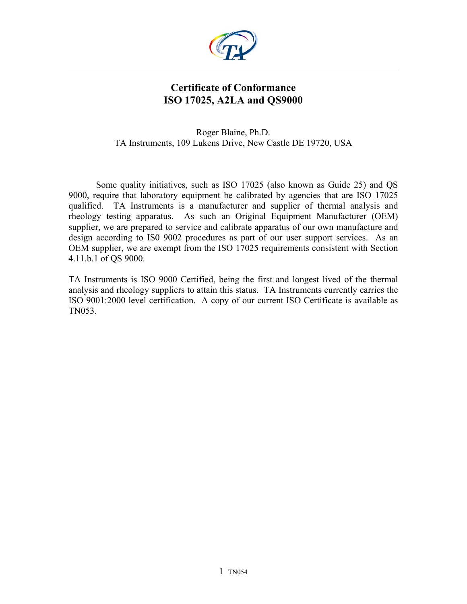

## **Certificate of Conformance ISO 17025, A2LA and QS9000**

Roger Blaine, Ph.D. TA Instruments, 109 Lukens Drive, New Castle DE 19720, USA

Some quality initiatives, such as ISO 17025 (also known as Guide 25) and QS 9000, require that laboratory equipment be calibrated by agencies that are ISO 17025 qualified. TA Instruments is a manufacturer and supplier of thermal analysis and rheology testing apparatus. As such an Original Equipment Manufacturer (OEM) supplier, we are prepared to service and calibrate apparatus of our own manufacture and design according to IS0 9002 procedures as part of our user support services. As an OEM supplier, we are exempt from the ISO 17025 requirements consistent with Section 4.11.b.1 of QS 9000.

TA Instruments is ISO 9000 Certified, being the first and longest lived of the thermal analysis and rheology suppliers to attain this status. TA Instruments currently carries the ISO 9001:2000 level certification. A copy of our current ISO Certificate is available as TN053.